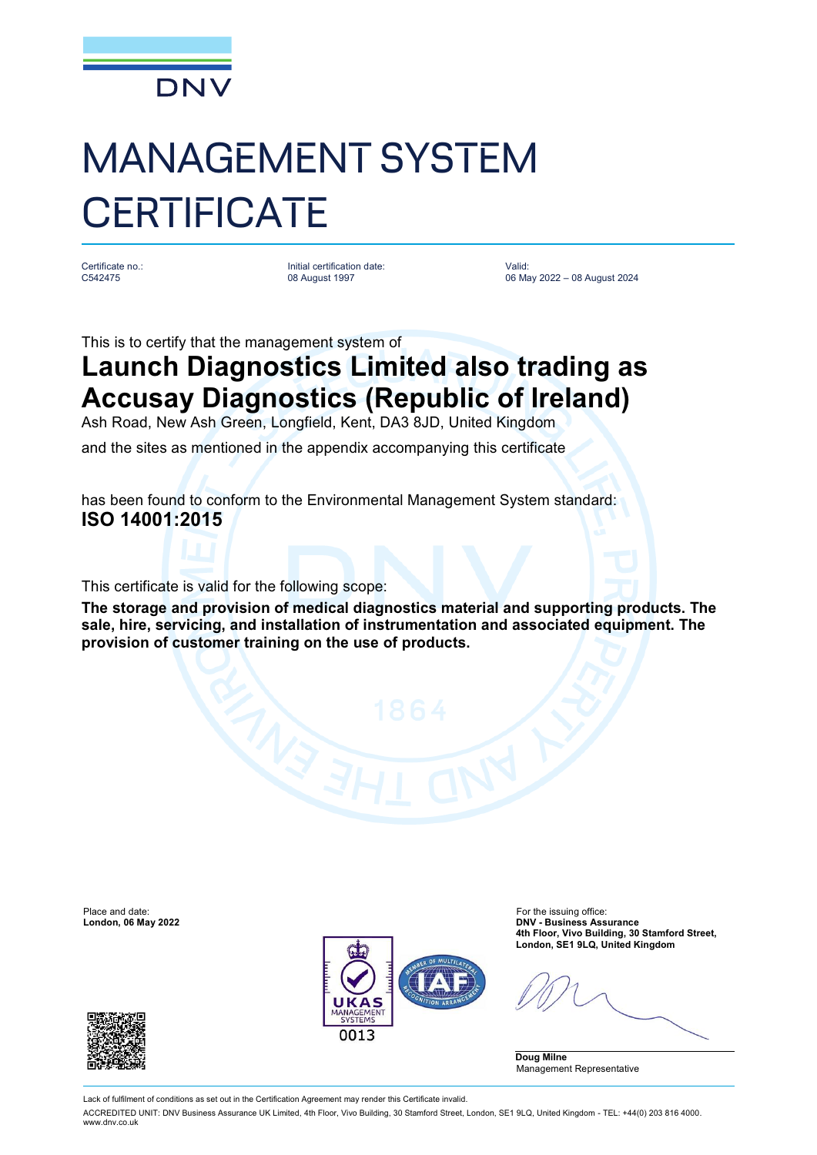

## MANAGEMENT SYSTEM **CERTIFICATE**

Certificate no.: C542475

Initial certification date: 08 August 1997

Valid: 06 May 2022 – 08 August 2024

This is to certify that the management system of

## **Launch Diagnostics Limited also trading as Accusay Diagnostics (Republic of Ireland)**

Ash Road, New Ash Green, Longfield, Kent, DA3 8JD, United Kingdom

and the sites as mentioned in the appendix accompanying this certificate

has been found to conform to the Environmental Management System standard: **ISO 14001:2015**

This certificate is valid for the following scope:

**The storage and provision of medical diagnostics material and supporting products. The sale, hire, servicing, and installation of instrumentation and associated equipment. The provision of customer training on the use of products.**





**London, 06 May 2022 DNV - Business Assurance 4th Floor, Vivo Building, 30 Stamford Street, London, SE1 9LQ, United Kingdom**

**Doug Milne** Management Representative



Lack of fulfilment of conditions as set out in the Certification Agreement may render this Certificate invalid.

ACCREDITED UNIT: DNV Business Assurance UK Limited, 4th Floor, Vivo Building, 30 Stamford Street, London, SE1 9LQ, United Kingdom - TEL: +44(0) 203 816 4000. [www.dnv.co.uk](http://www.dnv.co.uk)